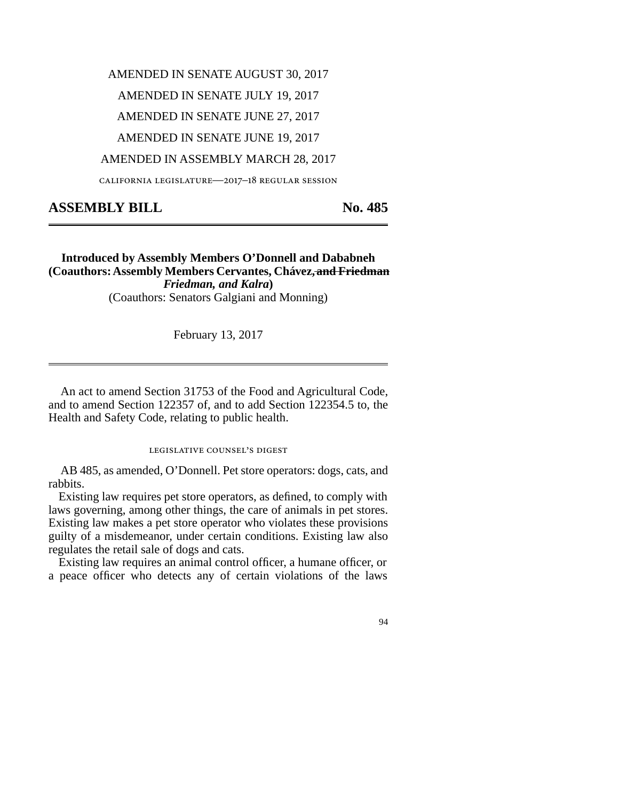# AMENDED IN SENATE AUGUST 30, 2017

# AMENDED IN SENATE JULY 19, 2017

AMENDED IN SENATE JUNE 27, 2017

AMENDED IN SENATE JUNE 19, 2017

### AMENDED IN ASSEMBLY MARCH 28, 2017

california legislature—2017–18 regular session

# ASSEMBLY BILL No. 485

## **Introduced by Assembly Members O'Donnell and Dababneh (Coauthors: Assembly Members Cervantes, Chávez, and Friedman** *Friedman, and Kalra***)** (Coauthors: Senators Galgiani and Monning)

February 13, 2017

An act to amend Section 31753 of the Food and Agricultural Code, and to amend Section 122357 of, and to add Section 122354.5 to, the Health and Safety Code, relating to public health.

legislative counsel's digest

AB 485, as amended, O'Donnell. Pet store operators: dogs, cats, and rabbits.

Existing law requires pet store operators, as defined, to comply with laws governing, among other things, the care of animals in pet stores. Existing law makes a pet store operator who violates these provisions guilty of a misdemeanor, under certain conditions. Existing law also regulates the retail sale of dogs and cats.

Existing law requires an animal control officer, a humane officer, or a peace officer who detects any of certain violations of the laws

### 94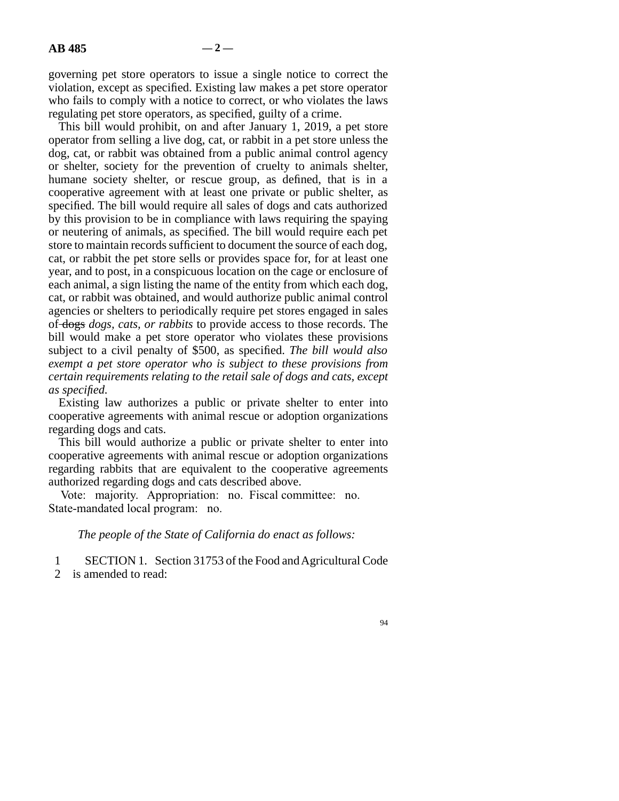governing pet store operators to issue a single notice to correct the violation, except as specified. Existing law makes a pet store operator who fails to comply with a notice to correct, or who violates the laws regulating pet store operators, as specified, guilty of a crime.

This bill would prohibit, on and after January 1, 2019, a pet store operator from selling a live dog, cat, or rabbit in a pet store unless the dog, cat, or rabbit was obtained from a public animal control agency or shelter, society for the prevention of cruelty to animals shelter, humane society shelter, or rescue group, as defined, that is in a cooperative agreement with at least one private or public shelter, as specified. The bill would require all sales of dogs and cats authorized by this provision to be in compliance with laws requiring the spaying or neutering of animals, as specified. The bill would require each pet store to maintain records sufficient to document the source of each dog, cat, or rabbit the pet store sells or provides space for, for at least one year, and to post, in a conspicuous location on the cage or enclosure of each animal, a sign listing the name of the entity from which each dog, cat, or rabbit was obtained, and would authorize public animal control agencies or shelters to periodically require pet stores engaged in sales of dogs *dogs, cats, or rabbits* to provide access to those records. The bill would make a pet store operator who violates these provisions subject to a civil penalty of \$500, as specified. *The bill would also exempt a pet store operator who is subject to these provisions from certain requirements relating to the retail sale of dogs and cats, except as specified.*

Existing law authorizes a public or private shelter to enter into cooperative agreements with animal rescue or adoption organizations regarding dogs and cats.

This bill would authorize a public or private shelter to enter into cooperative agreements with animal rescue or adoption organizations regarding rabbits that are equivalent to the cooperative agreements authorized regarding dogs and cats described above.

Vote: majority. Appropriation: no. Fiscal committee: no. State-mandated local program: no.

### *The people of the State of California do enact as follows:*

1 SECTION 1. Section 31753 of the Food and Agricultural Code

2 is amended to read:

94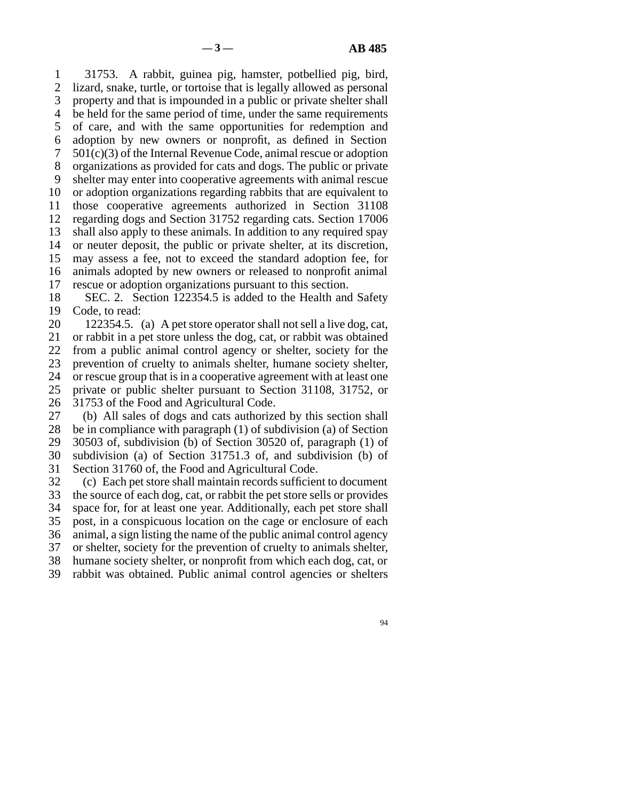line 1 31753. A rabbit, guinea pig, hamster, potbellied pig, bird, 2 lizard, snake, turtle, or tortoise that is legally allowed as personal 3 property and that is impounded in a public or private shelter shall 4 be held for the same period of time, under the same requirements 5 of care, and with the same opportunities for redemption and line 6 adoption by new owners or nonprofit, as defined in Section 7  $501(c)(3)$  of the Internal Revenue Code, animal rescue or adoption 8 organizations as provided for cats and dogs. The public or private 9 shelter may enter into cooperative agreements with animal rescue 10 or adoption organizations regarding rabbits that are equivalent to 11 those cooperative agreements authorized in Section 31108 12 regarding dogs and Section 31752 regarding cats. Section 17006 13 shall also apply to these animals. In addition to any required spay 14 or neuter deposit, the public or private shelter, at its discretion, 15 may assess a fee, not to exceed the standard adoption fee, for 16 animals adopted by new owners or released to nonprofit animal 17 rescue or adoption organizations pursuant to this section.

18 SEC. 2. Section 122354.5 is added to the Health and Safety 19 Code, to read:

20 122354.5. (a) A pet store operator shall not sell a live dog, cat, 21 or rabbit in a pet store unless the dog, cat, or rabbit was obtained 22 from a public animal control agency or shelter, society for the 23 prevention of cruelty to animals shelter, humane society shelter, 24 or rescue group that is in a cooperative agreement with at least one<br>25 private or public shelter pursuant to Section 31108, 31752, or private or public shelter pursuant to Section 31108, 31752, or 26 31753 of the Food and Agricultural Code.

27 (b) All sales of dogs and cats authorized by this section shall 28 be in compliance with paragraph  $(1)$  of subdivision  $(a)$  of Section 29 30503 of, subdivision (b) of Section 30520 of, paragraph (1) of 30 subdivision (a) of Section 31751.3 of, and subdivision (b) of 31 Section 31760 of, the Food and Agricultural Code.

32 (c) Each pet store shall maintain records sufficient to document 33 the source of each dog, cat, or rabbit the pet store sells or provides 34 space for, for at least one year. Additionally, each pet store shall 35 post, in a conspicuous location on the cage or enclosure of each 36 animal, a sign listing the name of the public animal control agency 37 or shelter, society for the prevention of cruelty to animals shelter, 38 humane society shelter, or nonprofit from which each dog, cat, or 39 rabbit was obtained. Public animal control agencies or shelters